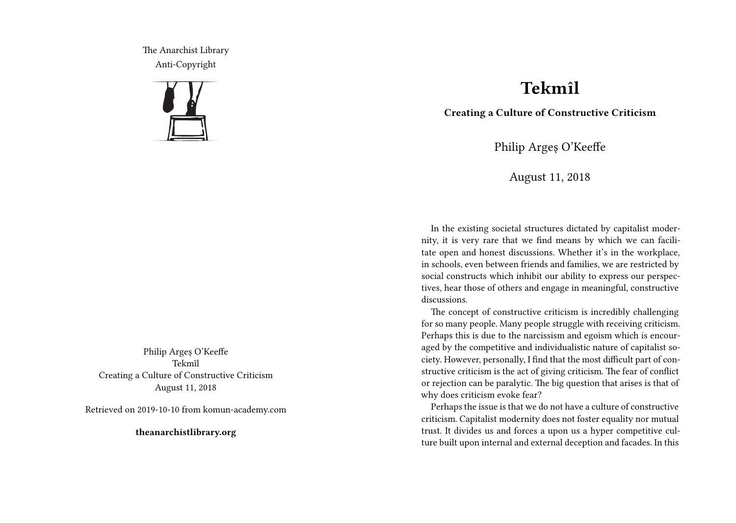The Anarchist Library Anti-Copyright



Philip Argeș O'Keeffe Tekmîl Creating a Culture of Constructive Criticism August 11, 2018

Retrieved on 2019-10-10 from komun-academy.com

**theanarchistlibrary.org**

## **Tekmîl**

**Creating a Culture of Constructive Criticism**

Philip Argeș O'Keeffe

August 11, 2018

In the existing societal structures dictated by capitalist modernity, it is very rare that we find means by which we can facilitate open and honest discussions. Whether it's in the workplace, in schools, even between friends and families, we are restricted by social constructs which inhibit our ability to express our perspectives, hear those of others and engage in meaningful, constructive discussions.

The concept of constructive criticism is incredibly challenging for so many people. Many people struggle with receiving criticism. Perhaps this is due to the narcissism and egoism which is encouraged by the competitive and individualistic nature of capitalist society. However, personally, I find that the most difficult part of constructive criticism is the act of giving criticism. The fear of conflict or rejection can be paralytic. The big question that arises is that of why does criticism evoke fear?

Perhaps the issue is that we do not have a culture of constructive criticism. Capitalist modernity does not foster equality nor mutual trust. It divides us and forces a upon us a hyper competitive culture built upon internal and external deception and facades. In this